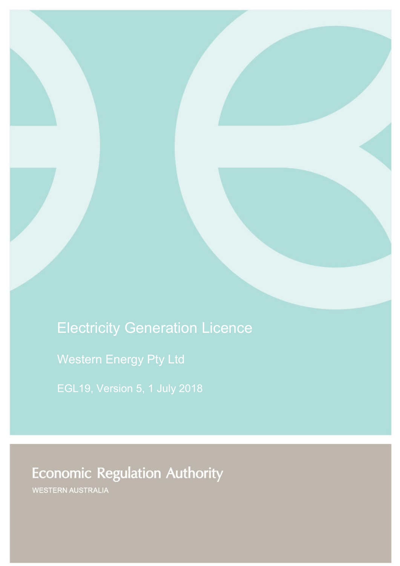# Electricity Generation Licence

Western Energy Pty Ltd

# **Economic Regulation Authority**

WESTERN AUSTRALIA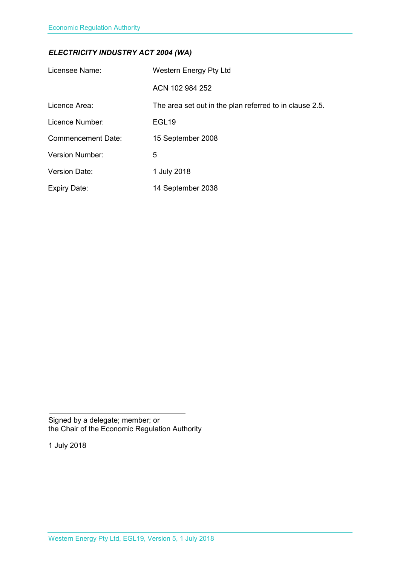### *ELECTRICITY INDUSTRY ACT 2004 (WA)*

| Licensee Name:            | <b>Western Energy Pty Ltd</b>                           |
|---------------------------|---------------------------------------------------------|
|                           | ACN 102 984 252                                         |
| Licence Area:             | The area set out in the plan referred to in clause 2.5. |
| Licence Number:           | EGL <sub>19</sub>                                       |
| <b>Commencement Date:</b> | 15 September 2008                                       |
| <b>Version Number:</b>    | 5                                                       |
| <b>Version Date:</b>      | 1 July 2018                                             |
| <b>Expiry Date:</b>       | 14 September 2038                                       |

Signed by a delegate; member; or the Chair of the Economic Regulation Authority

1 July 2018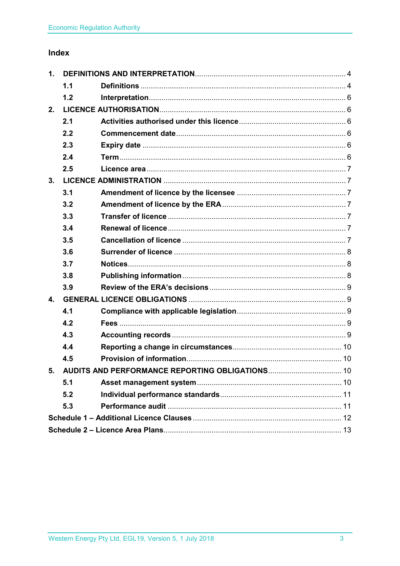### Index

| 1.                                                 |     |  |  |
|----------------------------------------------------|-----|--|--|
|                                                    | 1.1 |  |  |
|                                                    | 1.2 |  |  |
| 2.                                                 |     |  |  |
|                                                    | 2.1 |  |  |
|                                                    | 2.2 |  |  |
|                                                    | 2.3 |  |  |
|                                                    | 2.4 |  |  |
|                                                    | 2.5 |  |  |
| 3.                                                 |     |  |  |
|                                                    | 3.1 |  |  |
|                                                    | 3.2 |  |  |
|                                                    | 3.3 |  |  |
|                                                    | 3.4 |  |  |
|                                                    | 3.5 |  |  |
|                                                    | 3.6 |  |  |
|                                                    | 3.7 |  |  |
|                                                    | 3.8 |  |  |
|                                                    | 3.9 |  |  |
| $\mathbf{4}$ .                                     |     |  |  |
|                                                    | 4.1 |  |  |
|                                                    | 4.2 |  |  |
|                                                    | 4.3 |  |  |
|                                                    | 4.4 |  |  |
|                                                    | 4.5 |  |  |
| 5. AUDITS AND PERFORMANCE REPORTING OBLIGATIONS 10 |     |  |  |
|                                                    | 5.1 |  |  |
|                                                    | 5.2 |  |  |
|                                                    | 5.3 |  |  |
|                                                    |     |  |  |
|                                                    |     |  |  |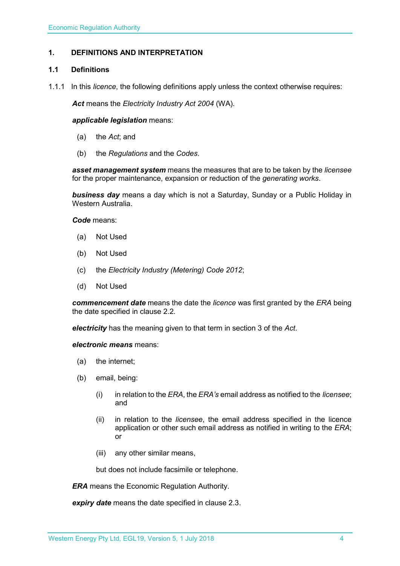#### <span id="page-3-0"></span>**1. DEFINITIONS AND INTERPRETATION**

#### <span id="page-3-1"></span>**1.1 Definitions**

1.1.1 In this *licence*, the following definitions apply unless the context otherwise requires:

*Act* means the *Electricity Industry Act 2004* (WA).

#### *applicable legislation* means:

- (a) the *Act*; and
- (b) the *Regulations* and the *Codes*.

*asset management system* means the measures that are to be taken by the *licensee* for the proper maintenance, expansion or reduction of the *generating works*.

*business day* means a day which is not a Saturday, Sunday or a Public Holiday in Western Australia.

*Code* means:

- (a) Not Used
- (b) Not Used
- (c) the *Electricity Industry (Metering) Code 2012*;
- (d) Not Used

*commencement date* means the date the *licence* was first granted by the *ERA* being the date specified in clause 2.2.

*electricity* has the meaning given to that term in section 3 of the *Act*.

*electronic means* means:

- (a) the internet;
- (b) email, being:
	- (i) in relation to the *ERA*, the *ERA's* email address as notified to the *licensee*; and
	- (ii) in relation to the *licensee*, the email address specified in the licence application or other such email address as notified in writing to the *ERA*; or
	- (iii) any other similar means,

but does not include facsimile or telephone.

*ERA* means the Economic Regulation Authority.

*expiry date* means the date specified in clause 2.3.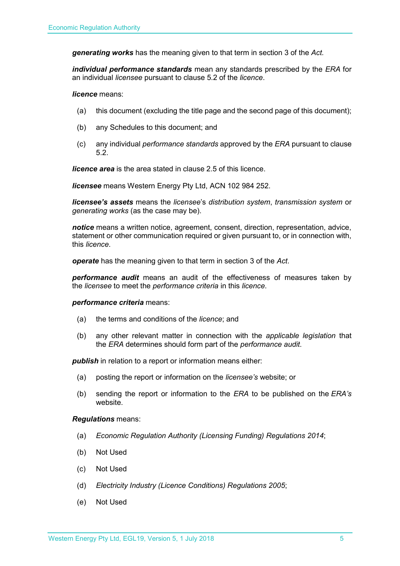*generating works* has the meaning given to that term in section 3 of the *Act.*

*individual performance standards* mean any standards prescribed by the *ERA* for an individual *licensee* pursuant to clause 5.2 of the *licence*.

*licence* means:

- (a) this document (excluding the title page and the second page of this document);
- (b) any Schedules to this document; and
- (c) any individual *performance standards* approved by the *ERA* pursuant to clause 5.2.

*licence area* is the area stated in clause 2.5 of this licence.

*licensee* means Western Energy Pty Ltd, ACN 102 984 252.

*licensee's assets* means the *licensee*'s *distribution system*, *transmission system* or *generating works* (as the case may be).

*notice* means a written notice, agreement, consent, direction, representation, advice, statement or other communication required or given pursuant to, or in connection with, this *licence*.

*operate* has the meaning given to that term in section 3 of the *Act*.

*performance audit* means an audit of the effectiveness of measures taken by the *licensee* to meet the *performance criteria* in this *licence*.

#### *performance criteria* means:

- (a) the terms and conditions of the *licence*; and
- (b) any other relevant matter in connection with the *applicable legislation* that the *ERA* determines should form part of the *performance audit*.

**publish** in relation to a report or information means either:

- (a) posting the report or information on the *licensee's* website; or
- (b) sending the report or information to the *ERA* to be published on the *ERA's* website.

#### *Regulations* means:

- (a) *Economic Regulation Authority (Licensing Funding) Regulations 2014*;
- (b) Not Used
- (c) Not Used
- (d) *Electricity Industry (Licence Conditions) Regulations 2005*;
- (e) Not Used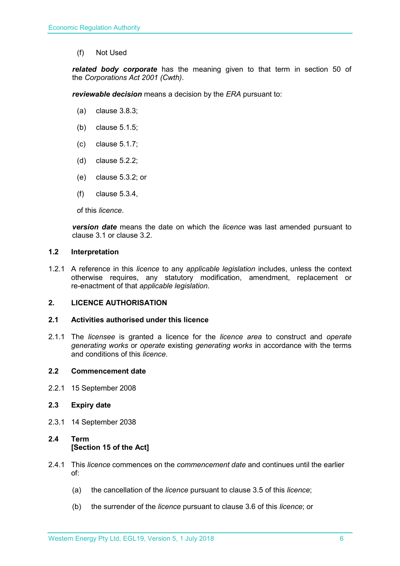(f) Not Used

*related body corporate* has the meaning given to that term in section 50 of the *Corporations Act 2001 (Cwth)*.

*reviewable decision* means a decision by the *ERA* pursuant to:

- (a) clause 3.8.3;
- (b) clause 5.1.5;
- (c) clause 5.1.7;
- (d) clause 5.2.2;
- (e) clause 5.3.2; or
- (f) clause 5.3.4,

of this *licence*.

*version date* means the date on which the *licence* was last amended pursuant to clause 3.1 or clause 3.2.

#### <span id="page-5-0"></span>**1.2 Interpretation**

1.2.1 A reference in this *licence* to any *applicable legislation* includes, unless the context otherwise requires, any statutory modification, amendment, replacement or re-enactment of that *applicable legislation*.

#### <span id="page-5-1"></span>**2. LICENCE AUTHORISATION**

#### <span id="page-5-2"></span>**2.1 Activities authorised under this licence**

2.1.1 The *licensee* is granted a licence for the *licence area* to construct and *operate generating works* or *operate* existing *generating works* in accordance with the terms and conditions of this *licence*.

#### <span id="page-5-3"></span>**2.2 Commencement date**

2.2.1 15 September 2008

#### <span id="page-5-4"></span>**2.3 Expiry date**

2.3.1 14 September 2038

### <span id="page-5-5"></span>**2.4 Term [Section 15 of the Act]**

- 2.4.1 This *licence* commences on the *commencement date* and continues until the earlier of:
	- (a) the cancellation of the *licence* pursuant to clause 3.5 of this *licence*;
	- (b) the surrender of the *licence* pursuant to clause 3.6 of this *licence*; or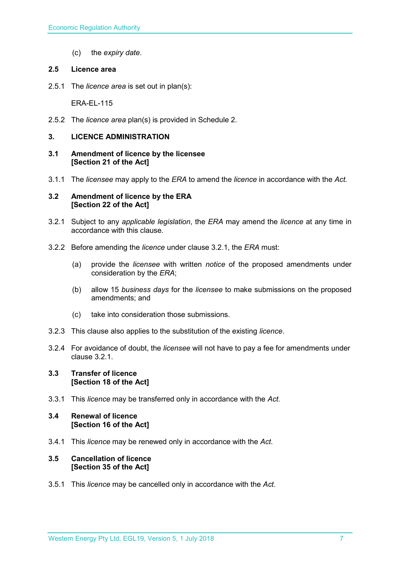(c) the *expiry date*.

#### <span id="page-6-0"></span>**2.5 Licence area**

2.5.1 The *licence area* is set out in plan(s):

ERA-EL-115

2.5.2 The *licence area* plan(s) is provided in Schedule 2.

#### <span id="page-6-1"></span>**3. LICENCE ADMINISTRATION**

- <span id="page-6-2"></span>**3.1 Amendment of licence by the licensee [Section 21 of the Act]**
- 3.1.1 The *licensee* may apply to the *ERA* to amend the *licence* in accordance with the *Act.*

#### <span id="page-6-3"></span>**3.2 Amendment of licence by the ERA [Section 22 of the Act]**

- 3.2.1 Subject to any *applicable legislation*, the *ERA* may amend the *licence* at any time in accordance with this clause.
- 3.2.2 Before amending the *licence* under clause 3.2.1, the *ERA* must:
	- (a) provide the *licensee* with written *notice* of the proposed amendments under consideration by the *ERA*;
	- (b) allow 15 *business days* for the *licensee* to make submissions on the proposed amendments; and
	- (c) take into consideration those submissions.
- 3.2.3 This clause also applies to the substitution of the existing *licence*.
- 3.2.4 For avoidance of doubt, the *licensee* will not have to pay a fee for amendments under clause 3.2.1.

#### <span id="page-6-4"></span>**3.3 Transfer of licence [Section 18 of the Act]**

3.3.1 This *licence* may be transferred only in accordance with the *Act.*

#### <span id="page-6-5"></span>**3.4 Renewal of licence [Section 16 of the Act]**

3.4.1 This *licence* may be renewed only in accordance with the *Act*.

#### <span id="page-6-6"></span>**3.5 Cancellation of licence [Section 35 of the Act]**

3.5.1 This *licence* may be cancelled only in accordance with the *Act*.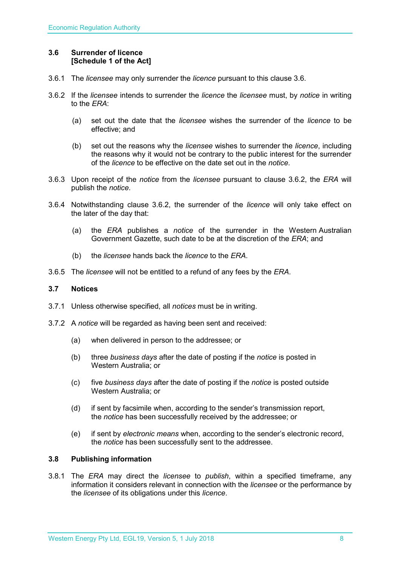#### <span id="page-7-0"></span>**3.6 Surrender of licence [Schedule 1 of the Act]**

- 3.6.1 The *licensee* may only surrender the *licence* pursuant to this clause 3.6.
- 3.6.2 If the *licensee* intends to surrender the *licence* the *licensee* must, by *notice* in writing to the *ERA*:
	- (a) set out the date that the *licensee* wishes the surrender of the *licence* to be effective; and
	- (b) set out the reasons why the *licensee* wishes to surrender the *licence*, including the reasons why it would not be contrary to the public interest for the surrender of the *licence* to be effective on the date set out in the *notice*.
- 3.6.3 Upon receipt of the *notice* from the *licensee* pursuant to clause 3.6.2, the *ERA* will publish the *notice*.
- 3.6.4 Notwithstanding clause 3.6.2, the surrender of the *licence* will only take effect on the later of the day that:
	- (a) the *ERA* publishes a *notice* of the surrender in the Western Australian Government Gazette, such date to be at the discretion of the *ERA*; and
	- (b) the *licensee* hands back the *licence* to the *ERA*.
- 3.6.5 The *licensee* will not be entitled to a refund of any fees by the *ERA*.

#### <span id="page-7-1"></span>**3.7 Notices**

- 3.7.1 Unless otherwise specified, all *notices* must be in writing.
- 3.7.2 A *notice* will be regarded as having been sent and received:
	- (a) when delivered in person to the addressee; or
	- (b) three *business days* after the date of posting if the *notice* is posted in Western Australia; or
	- (c) five *business days* after the date of posting if the *notice* is posted outside Western Australia; or
	- (d) if sent by facsimile when, according to the sender's transmission report, the *notice* has been successfully received by the addressee; or
	- (e) if sent by *electronic means* when, according to the sender's electronic record, the *notice* has been successfully sent to the addressee.

#### <span id="page-7-2"></span>**3.8 Publishing information**

3.8.1 The *ERA* may direct the *licensee* to *publish*, within a specified timeframe, any information it considers relevant in connection with the *licensee* or the performance by the *licensee* of its obligations under this *licence*.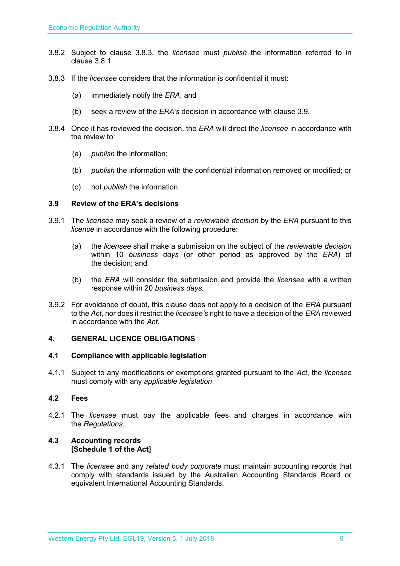- 3.8.2 Subject to clause 3.8.3, the *licensee* must *publish* the information referred to in clause 3.8.1.
- 3.8.3 If the *licensee* considers that the information is confidential it must:
	- (a) immediately notify the *ERA*; and
	- (b) seek a review of the *ERA's* decision in accordance with clause 3.9.
- 3.8.4 Once it has reviewed the decision, the *ERA* will direct the *licensee* in accordance with the review to:
	- (a) *publish* the information;
	- (b) *publish* the information with the confidential information removed or modified; or
	- (c) not *publish* the information.

#### <span id="page-8-0"></span>**3.9 Review of the ERA's decisions**

- 3.9.1 The *licensee* may seek a review of a *reviewable decision* by the *ERA* pursuant to this *licence* in accordance with the following procedure:
	- (a) the *licensee* shall make a submission on the subject of the *reviewable decision* within 10 *business days* (or other period as approved by the *ERA*) of the decision; and
	- (b) the *ERA* will consider the submission and provide the *licensee* with a written response within 20 *business days*.
- 3.9.2 For avoidance of doubt, this clause does not apply to a decision of the *ERA* pursuant to the *Act*, nor does it restrict the *licensee's* right to have a decision of the *ERA* reviewed in accordance with the *Act*.

#### <span id="page-8-1"></span>**4. GENERAL LICENCE OBLIGATIONS**

#### <span id="page-8-2"></span>**4.1 Compliance with applicable legislation**

4.1.1 Subject to any modifications or exemptions granted pursuant to the *Act*, the *licensee* must comply with any *applicable legislation*.

#### <span id="page-8-3"></span>**4.2 Fees**

4.2.1 The *licensee* must pay the applicable fees and charges in accordance with the *Regulations*.

#### <span id="page-8-4"></span>**4.3 Accounting records [Schedule 1 of the Act]**

4.3.1 The *licensee* and any *related body corporate* must maintain accounting records that comply with standards issued by the Australian Accounting Standards Board or equivalent International Accounting Standards.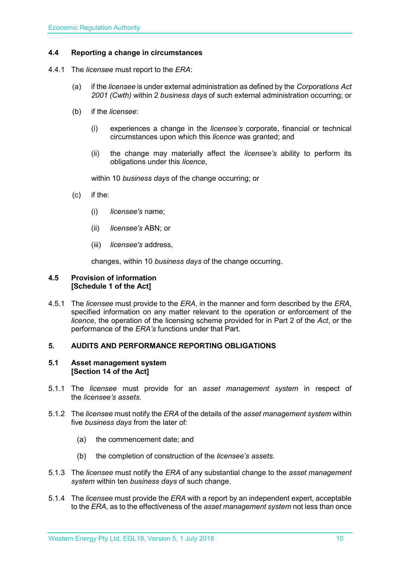#### <span id="page-9-0"></span>**4.4 Reporting a change in circumstances**

- 4.4.1 The *licensee* must report to the *ERA*:
	- (a) if the *licensee* is under external administration as defined by the *Corporations Act 2001 (Cwth)* within 2 *business days* of such external administration occurring; or
	- (b) if the *licensee*:
		- (i) experiences a change in the *licensee's* corporate, financial or technical circumstances upon which this *licence* was granted; and
		- (ii) the change may materially affect the *licensee's* ability to perform its obligations under this *licence*,

within 10 *business days* of the change occurring; or

- (c) if the:
	- (i) *licensee's* name;
	- (ii) *licensee's* ABN; or
	- (iii) *licensee's* address,

changes, within 10 *business days* of the change occurring.

#### <span id="page-9-1"></span>**4.5 Provision of information [Schedule 1 of the Act]**

4.5.1 The *licensee* must provide to the *ERA*, in the manner and form described by the *ERA*, specified information on any matter relevant to the operation or enforcement of the *licence*, the operation of the licensing scheme provided for in Part 2 of the *Act*, or the performance of the *ERA's* functions under that Part.

#### <span id="page-9-2"></span>**5. AUDITS AND PERFORMANCE REPORTING OBLIGATIONS**

#### <span id="page-9-3"></span>**5.1 Asset management system [Section 14 of the Act]**

- 5.1.1 The *licensee* must provide for an *asset management system* in respect of the *licensee's assets*.
- 5.1.2 The *licensee* must notify the *ERA* of the details of the *asset management system* within five *business days* from the later of:
	- (a) the commencement date; and
	- (b) the completion of construction of the *licensee's assets*.
- 5.1.3 The *licensee* must notify the *ERA* of any substantial change to the *asset management system* within ten *business days* of such change.
- 5.1.4 The *licensee* must provide the *ERA* with a report by an independent expert, acceptable to the *ERA*, as to the effectiveness of the *asset management system* not less than once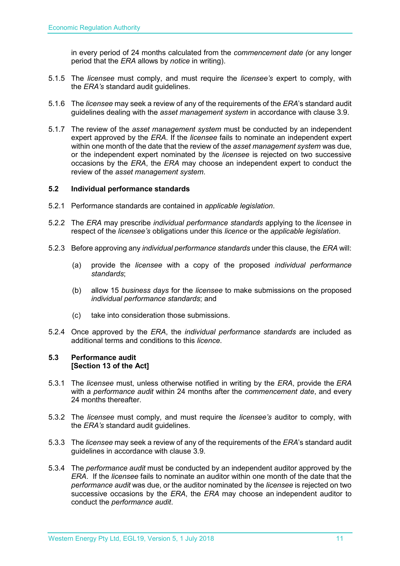in every period of 24 months calculated from the *commencement date (*or any longer period that the *ERA* allows by *notice* in writing).

- 5.1.5 The *licensee* must comply, and must require the *licensee's* expert to comply, with the *ERA's* standard audit guidelines.
- 5.1.6 The *licensee* may seek a review of any of the requirements of the *ERA*'s standard audit guidelines dealing with the *asset management system* in accordance with clause 3.9.
- 5.1.7 The review of the *asset management system* must be conducted by an independent expert approved by the *ERA*. If the *licensee* fails to nominate an independent expert within one month of the date that the review of the *asset management system* was due, or the independent expert nominated by the *licensee* is rejected on two successive occasions by the *ERA*, the *ERA* may choose an independent expert to conduct the review of the *asset management system*.

#### <span id="page-10-0"></span>**5.2 Individual performance standards**

- 5.2.1 Performance standards are contained in *applicable legislation*.
- 5.2.2 The *ERA* may prescribe *individual performance standards* applying to the *licensee* in respect of the *licensee's* obligations under this *licence* or the *applicable legislation*.
- 5.2.3 Before approving any *individual performance standards* under this clause, the *ERA* will:
	- (a) provide the *licensee* with a copy of the proposed *individual performance standards*;
	- (b) allow 15 *business days* for the *licensee* to make submissions on the proposed *individual performance standards*; and
	- (c) take into consideration those submissions.
- 5.2.4 Once approved by the *ERA*, the *individual performance standards* are included as additional terms and conditions to this *licence*.

#### <span id="page-10-1"></span>**5.3 Performance audit [Section 13 of the Act]**

- 5.3.1 The *licensee* must, unless otherwise notified in writing by the *ERA*, provide the *ERA* with a *performance audit* within 24 months after the *commencement date*, and every 24 months thereafter.
- 5.3.2 The *licensee* must comply, and must require the *licensee's* auditor to comply, with the *ERA's* standard audit guidelines.
- 5.3.3 The *licensee* may seek a review of any of the requirements of the *ERA*'s standard audit guidelines in accordance with clause 3.9.
- 5.3.4 The *performance audit* must be conducted by an independent auditor approved by the *ERA*. If the *licensee* fails to nominate an auditor within one month of the date that the *performance audit* was due, or the auditor nominated by the *licensee* is rejected on two successive occasions by the *ERA*, the *ERA* may choose an independent auditor to conduct the *performance audit*.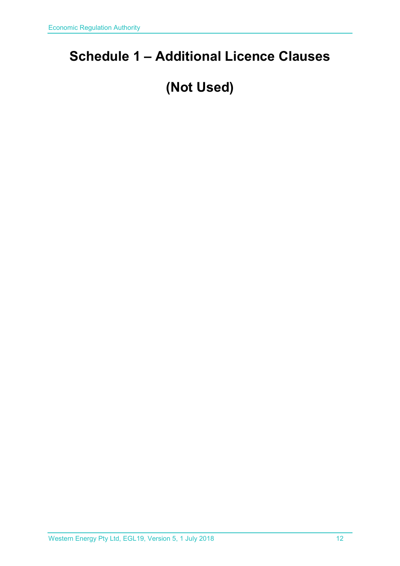## <span id="page-11-0"></span>**Schedule 1 – Additional Licence Clauses**

# **(Not Used)**

Western Energy Pty Ltd, EGL19, Version 5, 1 July 2018 12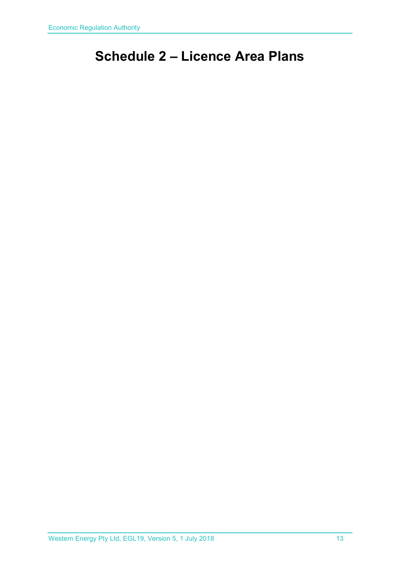## <span id="page-12-0"></span>**Schedule 2 – Licence Area Plans**